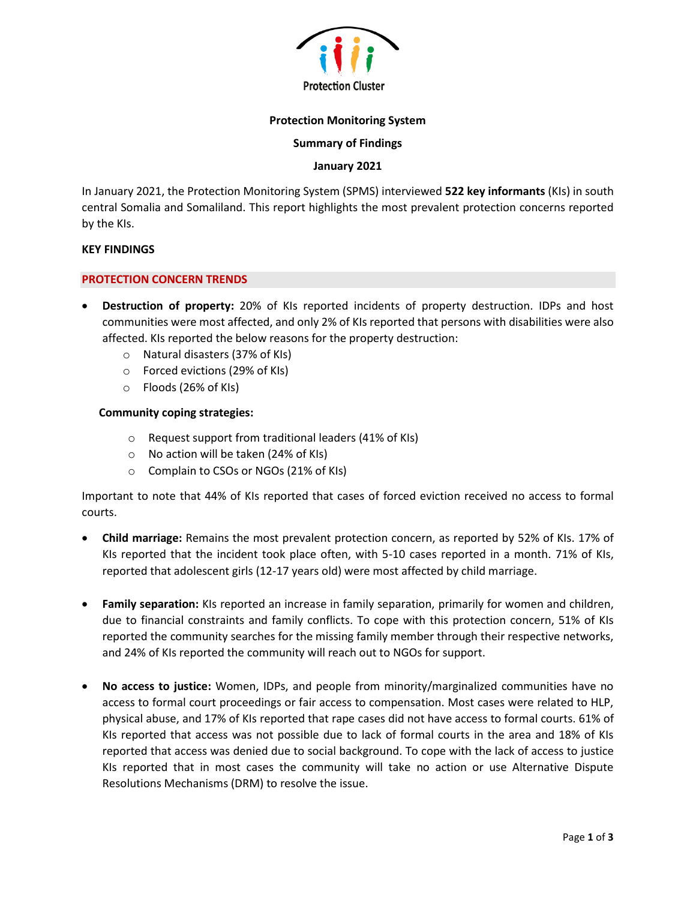

# **Protection Monitoring System**

## **Summary of Findings**

# **January 2021**

In January 2021, the Protection Monitoring System (SPMS) interviewed **522 key informants** (KIs) in south central Somalia and Somaliland. This report highlights the most prevalent protection concerns reported by the KIs.

### **KEY FINDINGS**

### **PROTECTION CONCERN TRENDS**

- **Destruction of property:** 20% of KIs reported incidents of property destruction. IDPs and host communities were most affected, and only 2% of KIs reported that persons with disabilities were also affected. KIs reported the below reasons for the property destruction:
	- o Natural disasters (37% of KIs)
	- o Forced evictions (29% of KIs)
	- o Floods (26% of KIs)

## **Community coping strategies:**

- o Request support from traditional leaders (41% of KIs)
- o No action will be taken (24% of KIs)
- o Complain to CSOs or NGOs (21% of KIs)

Important to note that 44% of KIs reported that cases of forced eviction received no access to formal courts.

- **Child marriage:** Remains the most prevalent protection concern, as reported by 52% of KIs. 17% of KIs reported that the incident took place often, with 5-10 cases reported in a month. 71% of KIs, reported that adolescent girls (12-17 years old) were most affected by child marriage.
- **Family separation:** KIs reported an increase in family separation, primarily for women and children, due to financial constraints and family conflicts. To cope with this protection concern, 51% of KIs reported the community searches for the missing family member through their respective networks, and 24% of KIs reported the community will reach out to NGOs for support.
- **No access to justice:** Women, IDPs, and people from minority/marginalized communities have no access to formal court proceedings or fair access to compensation. Most cases were related to HLP, physical abuse, and 17% of KIs reported that rape cases did not have access to formal courts. 61% of KIs reported that access was not possible due to lack of formal courts in the area and 18% of KIs reported that access was denied due to social background. To cope with the lack of access to justice KIs reported that in most cases the community will take no action or use Alternative Dispute Resolutions Mechanisms (DRM) to resolve the issue.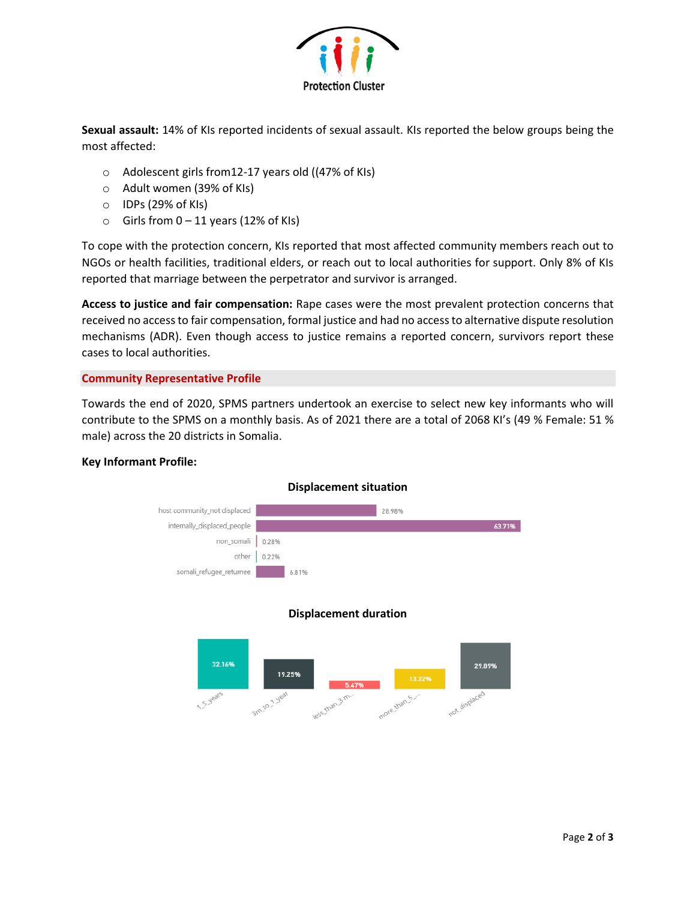

**Sexual assault:** 14% of KIs reported incidents of sexual assault. KIs reported the below groups being the most affected:

- o Adolescent girls from12-17 years old ((47% of KIs)
- o Adult women (39% of KIs)
- o IDPs (29% of KIs)
- $\circ$  Girls from 0 11 years (12% of KIs)

To cope with the protection concern, KIs reported that most affected community members reach out to NGOs or health facilities, traditional elders, or reach out to local authorities for support. Only 8% of KIs reported that marriage between the perpetrator and survivor is arranged.

**Access to justice and fair compensation:** Rape cases were the most prevalent protection concerns that received no access to fair compensation, formal justice and had no access to alternative dispute resolution mechanisms (ADR). Even though access to justice remains a reported concern, survivors report these cases to local authorities.

# **Community Representative Profile**

Towards the end of 2020, SPMS partners undertook an exercise to select new key informants who will contribute to the SPMS on a monthly basis. As of 2021 there are a total of 2068 KI's (49 % Female: 51 % male) across the 20 districts in Somalia.

## **Key Informant Profile:**



# **Displacement situation**